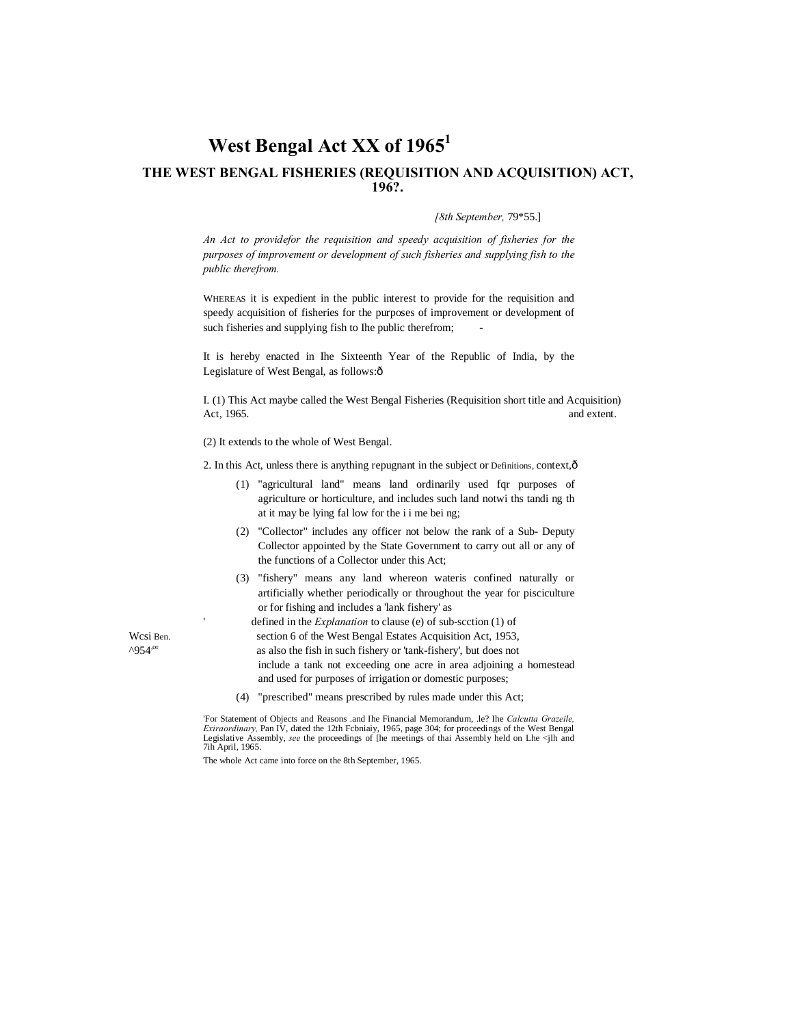# West Bengal Act XX of 1965<sup>1</sup> **THE WEST BENGAL FISHERIES (REQUISITION AND ACQUISITION) ACT, 196?.**

#### *[8th September,* 79\*55.]

*An Act to providefor the requisition and speedy acquisition of fisheries for the purposes of improvement or development of such fisheries and supplying fish to the public therefrom.*

WHEREAS it is expedient in the public interest to provide for the requisition and speedy acquisition of fisheries for the purposes of improvement or development of such fisheries and supplying fish to Ihe public therefrom;

It is hereby enacted in Ihe Sixteenth Year of the Republic of India, by the Legislature of West Bengal, as follows: $\hat{o}$ 

I. (1) This Act maybe called the West Bengal Fisheries (Requisition short title and Acquisition) Act, 1965. and extent.

(2) It extends to the whole of West Bengal.

2. In this Act, unless there is anything repugnant in the subject or Definitions, context, $\hat{\mathbf{o}}$ 

- (1) "agricultural land" means land ordinarily used fqr purposes of agriculture or horticulture, and includes such land notwi ths tandi ng th at it may be lying fal low for the i i me bei ng;
- (2) "Collector" includes any officer not below the rank of a Sub- Deputy Collector appointed by the State Government to carry out all or any of the functions of a Collector under this Act;
- (3) "fishery" means any land whereon wateris confined naturally or artificially whether periodically or throughout the year for pisciculture or for fishing and includes a 'lank fishery' as

defined in the *Explanation* to clause (e) of sub-scction (1) of

Wcsi Ben. section 6 of the West Bengal Estates Acquisition Act, 1953,

 $^{\circ}$ 954<sup>,or</sup> as also the fish in such fishery or 'tank-fishery', but does not

include a tank not exceeding one acre in area adjoining a homestead and used for purposes of irrigation or domestic purposes;

(4) "prescribed" means prescribed by rules made under this Act;

'For Statement of Objects and Reasons .and Ihe Financial Memorandum, .le? Ihe *Calcutta Grazeile, Exiraordinary,* Pan IV, dated the 12th Fcbniaiy, 1965, page 304; for proceedings of the West Bengal Legislative Assembly, *see* the proceedings of [he meetings of thai Assembly held on Lhe <jlh and 7ih April, 1965.

The whole Act came into force on the 8th September, 1965.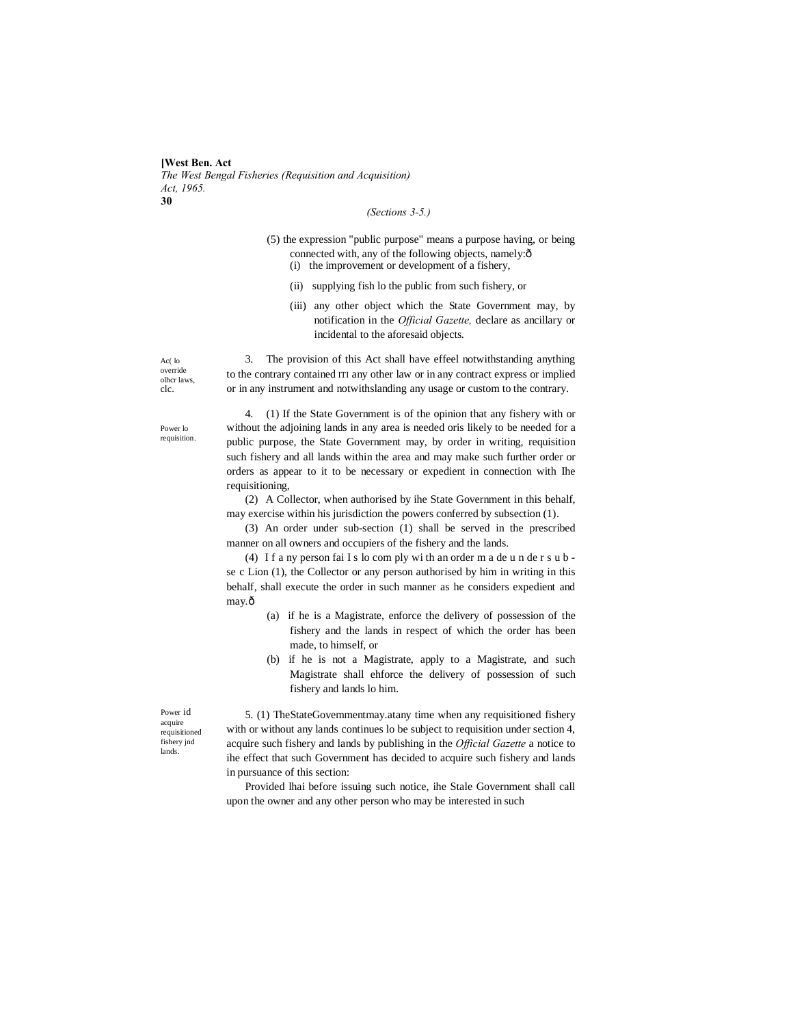**[West Ben. Act** *The West Bengal Fisheries (Requisition and Acquisition) Act, 1965.* **30**

### *(Sections 3-5.)*

- (5) the expression "public purpose" means a purpose having, or being connected with, any of the following objects, namely: $\hat{o}$ (i) the improvement or development of a fishery,
	- (ii) supplying fish lo the public from such fishery, or
	- (iii) any other object which the State Government may, by notification in the *Official Gazette,* declare as ancillary or incidental to the aforesaid objects.

Ac( lo override olhcr laws, clc.

3. The provision of this Act shall have effeel notwithstanding anything to the contrary contained ITI any other law or in any contract express or implied or in any instrument and notwithslanding any usage or custom to the contrary.

Power lo requisition.

4. (1) If the State Government is of the opinion that any fishery with or without the adjoining lands in any area is needed oris likely to be needed for a public purpose, the State Government may, by order in writing, requisition such fishery and all lands within the area and may make such further order or orders as appear to it to be necessary or expedient in connection with Ihe requisitioning,

(2) A Collector, when authorised by ihe State Government in this behalf, may exercise within his jurisdiction the powers conferred by subsection (1).

(3) An order under sub-section (1) shall be served in the prescribed manner on all owners and occupiers of the fishery and the lands.

(4) I f a ny person fai I s lo com ply wi th an order m a de u n de r s u b se c Lion (1), the Collector or any person authorised by him in writing in this behalf, shall execute the order in such manner as he considers expedient and may.ô

- (a) if he is a Magistrate, enforce the delivery of possession of the fishery and the lands in respect of which the order has been made, to himself, or
- (b) if he is not a Magistrate, apply to a Magistrate, and such Magistrate shall ehforce the delivery of possession of such fishery and lands lo him.

Power id acquire requisitioned fishery jnd lands.

5. (1) TheStateGovemmentmay.atany time when any requisitioned fishery with or without any lands continues lo be subject to requisition under section 4, acquire such fishery and lands by publishing in the *Official Gazette* a notice to ihe effect that such Government has decided to acquire such fishery and lands in pursuance of this section:

Provided lhai before issuing such notice, ihe Stale Government shall call upon the owner and any other person who may be interested in such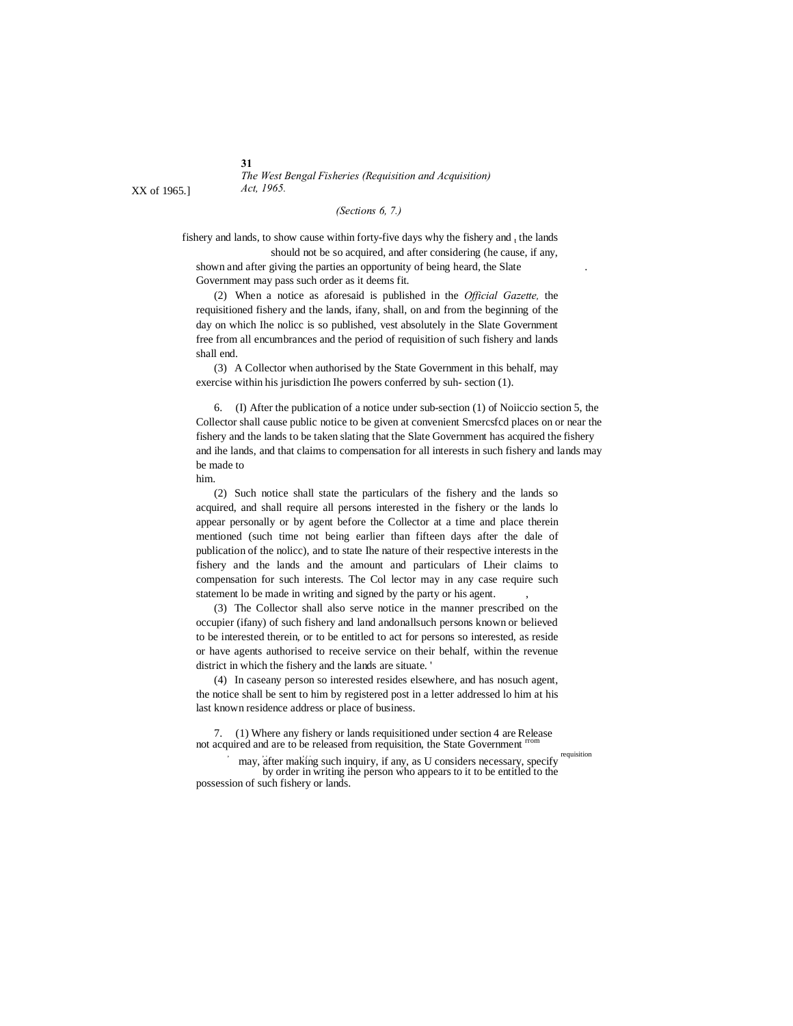**31** *The West Bengal Fisheries (Requisition and Acquisition)*

### *(Sections 6, 7.)*

fishery and lands, to show cause within forty-five days why the fishery and  $<sub>t</sub>$  the lands</sub> should not be so acquired, and after considering (he cause, if any, shown and after giving the parties an opportunity of being heard, the Slate

Government may pass such order as it deems fit.

(2) When a notice as aforesaid is published in the *Official Gazette,* the requisitioned fishery and the lands, ifany, shall, on and from the beginning of the day on which Ihe nolicc is so published, vest absolutely in the Slate Government free from all encumbrances and the period of requisition of such fishery and lands shall end.

(3) A Collector when authorised by the State Government in this behalf, may exercise within his jurisdiction Ihe powers conferred by suh- section (1).

6. (I) After the publication of a notice under sub-section (1) of Noiiccio section 5, the Collector shall cause public notice to be given at convenient Smercsfcd places on or near the fishery and the lands to be taken slating that the Slate Government has acquired the fishery and ihe lands, and that claims to compensation for all interests in such fishery and lands may be made to

him.

(2) Such notice shall state the particulars of the fishery and the lands so acquired, and shall require all persons interested in the fishery or the lands lo appear personally or by agent before the Collector at a time and place therein mentioned (such time not being earlier than fifteen days after the dale of publication of the nolicc), and to state Ihe nature of their respective interests in the fishery and the lands and the amount and particulars of Lheir claims to compensation for such interests. The Col lector may in any case require such statement lo be made in writing and signed by the party or his agent.

(3) The Collector shall also serve notice in the manner prescribed on the occupier (ifany) of such fishery and land andonallsuch persons known or believed to be interested therein, or to be entitled to act for persons so interested, as reside or have agents authorised to receive service on their behalf, within the revenue district in which the fishery and the lands are situate. '

(4) In caseany person so interested resides elsewhere, and has nosuch agent, the notice shall be sent to him by registered post in a letter addressed lo him at his last known residence address or place of business.

7. (1) Where any fishery or lands requisitioned under section 4 are Release not acquired and are to be released from requisition, the State Government

 $\alpha$  may, after making such inquiry, if any, as U considers necessary, specify requisition by order in writing ihe person who appears to it to be entitled to the possession of such fishery or lands.

XX of 1965.] *Act, 1965.*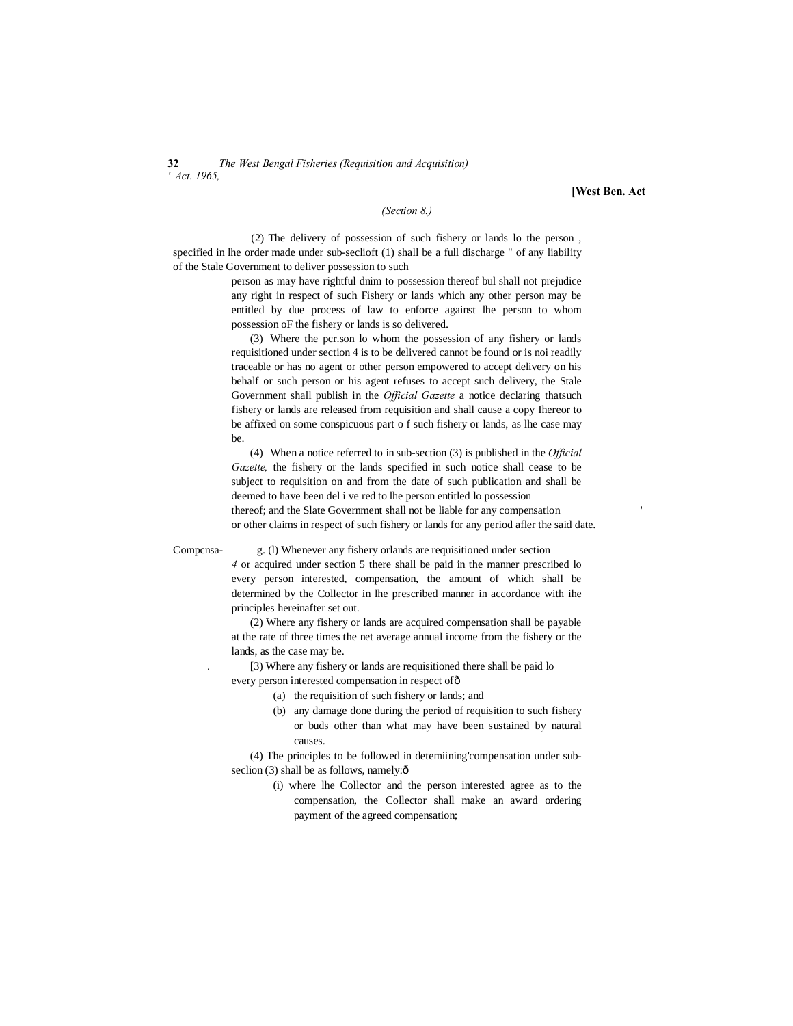**32** *The West Bengal Fisheries (Requisition and Acquisition) ' Act. 1965,*

**[West Ben. Act**

#### *(Section 8.)*

(2) The delivery of possession of such fishery or lands lo the person , specified in lhe order made under sub-seclioft (1) shall be a full discharge " of any liability of the Stale Government to deliver possession to such

> person as may have rightful dnim to possession thereof bul shall not prejudice any right in respect of such Fishery or lands which any other person may be entitled by due process of law to enforce against lhe person to whom possession oF the fishery or lands is so delivered.

> (3) Where the pcr.son lo whom the possession of any fishery or lands requisitioned under section 4 is to be delivered cannot be found or is noi readily traceable or has no agent or other person empowered to accept delivery on his behalf or such person or his agent refuses to accept such delivery, the Stale Government shall publish in the *Official Gazette* a notice declaring thatsuch fishery or lands are released from requisition and shall cause a copy Ihereor to be affixed on some conspicuous part o f such fishery or lands, as lhe case may be.

(4) When a notice referred to in sub-section (3) is published in the *Official Gazette,* the fishery or the lands specified in such notice shall cease to be subject to requisition on and from the date of such publication and shall be deemed to have been del i ve red to lhe person entitled lo possession thereof; and the Slate Government shall not be liable for any compensation ' or other claims in respect of such fishery or lands for any period afler the said date.

Compcnsa- g. (l) Whenever any fishery orlands are requisitioned under section

*4* or acquired under section 5 there shall be paid in the manner prescribed lo every person interested, compensation, the amount of which shall be determined by the Collector in lhe prescribed manner in accordance with ihe principles hereinafter set out.

(2) Where any fishery or lands are acquired compensation shall be payable at the rate of three times the net average annual income from the fishery or the lands, as the case may be.

. [3) Where any fishery or lands are requisitioned there shall be paid lo every person interested compensation in respect of—

- (a) the requisition of such fishery or lands; and
- (b) any damage done during the period of requisition to such fishery or buds other than what may have been sustained by natural causes.

(4) The principles to be followed in detemiining'compensation under subseclion  $(3)$  shall be as follows, namely: $\hat{o}$ 

> (i) where lhe Collector and the person interested agree as to the compensation, the Collector shall make an award ordering payment of the agreed compensation;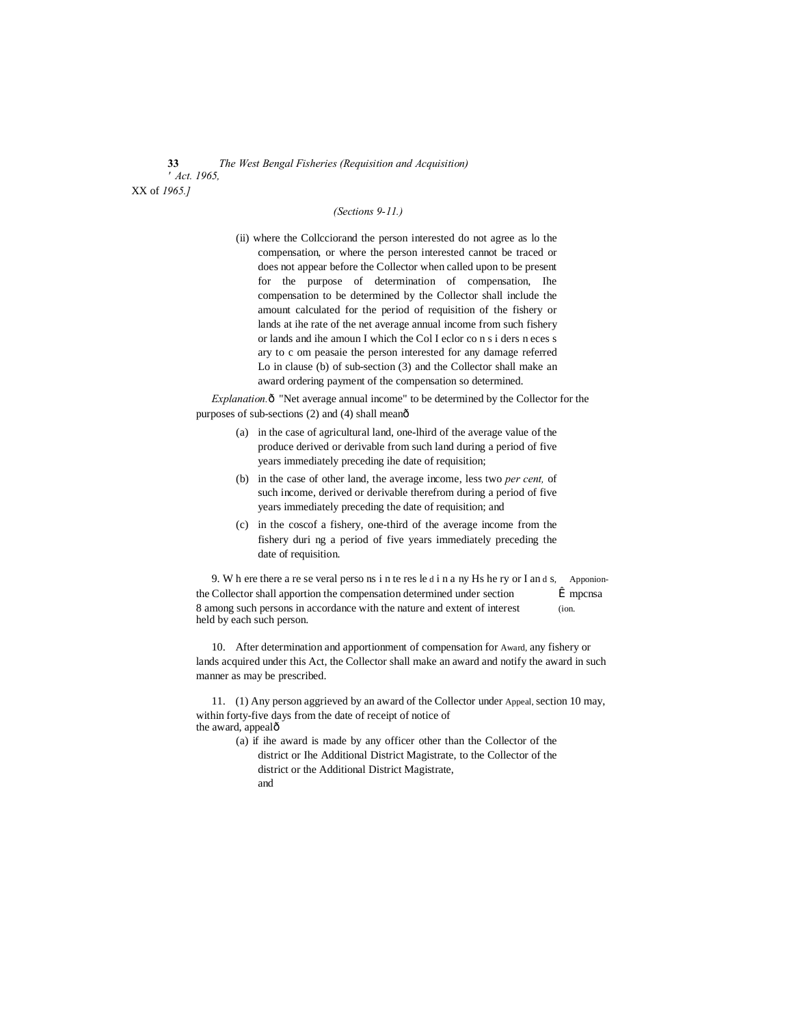### **33** *The West Bengal Fisheries (Requisition and Acquisition) ' Act. 1965,* XX of *1965.]*

*(Sections 9-11.)*

(ii) where the Collcciorand the person interested do not agree as lo the compensation, or where the person interested cannot be traced or does not appear before the Collector when called upon to be present for the purpose of determination of compensation, Ihe compensation to be determined by the Collector shall include the amount calculated for the period of requisition of the fishery or lands at ihe rate of the net average annual income from such fishery or lands and ihe amoun I which the Col I eclor co n s i ders n eces s ary to c om peasaie the person interested for any damage referred Lo in clause (b) of sub-section (3) and the Collector shall make an award ordering payment of the compensation so determined.

*Explanation.* $\hat{o}$  "Net average annual income" to be determined by the Collector for the purposes of sub-sections  $(2)$  and  $(4)$  shall meanô

- (a) in the case of agricultural land, one-lhird of the average value of the produce derived or derivable from such land during a period of five years immediately preceding ihe date of requisition;
- (b) in the case of other land, the average income, less two *per cent,* of such income, derived or derivable therefrom during a period of five years immediately preceding the date of requisition; and
- (c) in the coscof a fishery, one-third of the average income from the fishery duri ng a period of five years immediately preceding the date of requisition.

9. W h ere there a re se veral perso ns i n te res le d i n a ny Hs he ry or I an d s, Apponionthe Collector shall apportion the compensation determined under section  $\hat{I}$  mpcnsa 8 among such persons in accordance with the nature and extent of interest (ion. held by each such person.

10. After determination and apportionment of compensation for Award, any fishery or lands acquired under this Act, the Collector shall make an award and notify the award in such manner as may be prescribed.

11. (1) Any person aggrieved by an award of the Collector under Appeal, section 10 may, within forty-five days from the date of receipt of notice of the award, appealô

- (a) if ihe award is made by any officer other than the Collector of the district or Ihe Additional District Magistrate, to the Collector of the district or the Additional District Magistrate, and
	-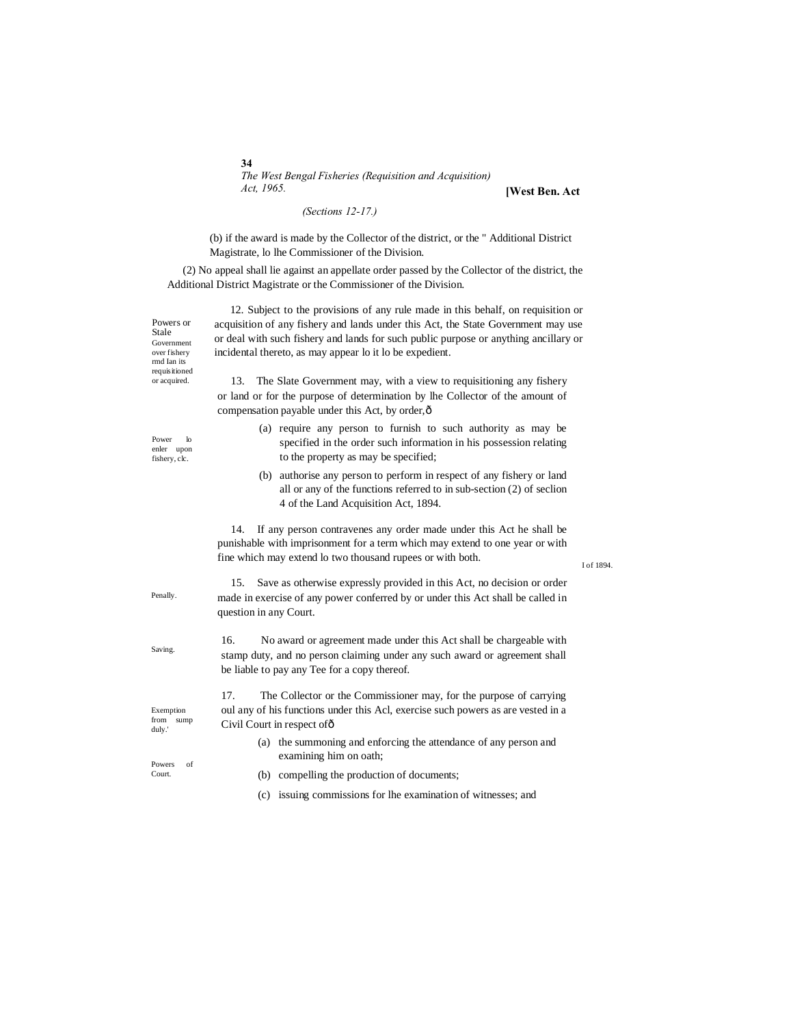*The West Bengal Fisheries (Requisition and Acquisition) Act, 1965.*

**[West Ben. Act**

## *(Sections 12-17.)*

(b) if the award is made by the Collector of the district, or the " Additional District Magistrate, lo lhe Commissioner of the Division.

(2) No appeal shall lie against an appellate order passed by the Collector of the district, the Additional District Magistrate or the Commissioner of the Division.

| Powers or<br>Stale<br>Government<br>over fishery<br>rmd Ian its<br>requisitioned<br>or acquired. | 12. Subject to the provisions of any rule made in this behalf, on requisition or<br>acquisition of any fishery and lands under this Act, the State Government may use                                                    |            |
|--------------------------------------------------------------------------------------------------|--------------------------------------------------------------------------------------------------------------------------------------------------------------------------------------------------------------------------|------------|
|                                                                                                  | or deal with such fishery and lands for such public purpose or anything ancillary or<br>incidental thereto, as may appear lo it lo be expedient.                                                                         |            |
|                                                                                                  | 13.<br>The Slate Government may, with a view to requisitioning any fishery<br>or land or for the purpose of determination by lhe Collector of the amount of<br>compensation payable under this Act, by order, $\hat{o}$  |            |
| Power<br>$\mathbf{b}$<br>enler upon<br>fishery, clc.                                             | (a) require any person to furnish to such authority as may be<br>specified in the order such information in his possession relating<br>to the property as may be specified;                                              |            |
|                                                                                                  | (b) authorise any person to perform in respect of any fishery or land<br>all or any of the functions referred to in sub-section (2) of seclion<br>4 of the Land Acquisition Act, 1894.                                   |            |
|                                                                                                  | If any person contravenes any order made under this Act he shall be<br>14.<br>punishable with imprisonment for a term which may extend to one year or with<br>fine which may extend lo two thousand rupees or with both. | I of 1894. |
| Penally.                                                                                         | Save as otherwise expressly provided in this Act, no decision or order<br>15.<br>made in exercise of any power conferred by or under this Act shall be called in<br>question in any Court.                               |            |
| Saving.                                                                                          | 16.<br>No award or agreement made under this Act shall be chargeable with<br>stamp duty, and no person claiming under any such award or agreement shall<br>be liable to pay any Tee for a copy thereof.                  |            |
| Exemption<br>from<br>sump<br>duly.'                                                              | The Collector or the Commissioner may, for the purpose of carrying<br>17.<br>oul any of his functions under this Acl, exercise such powers as are vested in a<br>Civil Court in respect of ô                             |            |
| of<br>Powers                                                                                     | (a) the summoning and enforcing the attendance of any person and<br>examining him on oath;                                                                                                                               |            |
| Court.                                                                                           | (b) compelling the production of documents;                                                                                                                                                                              |            |

(c) issuing commissions for lhe examination of witnesses; and

**34**